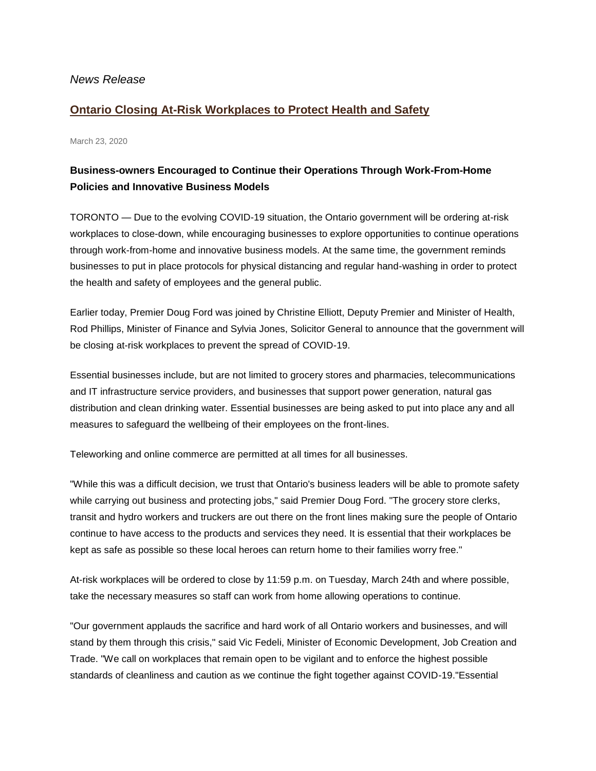## *News Release*

## **[Ontario Closing At-Risk Workplaces to Protect Health and Safety](http://news.ontario.ca/opo/en/2020/03/ontario-closing-at-risk-workplaces-to-protect-health-and-safety.html?utm_source=ondemand&utm_medium=email&utm_campaign=p)**

March 23, 2020

## **Business-owners Encouraged to Continue their Operations Through Work-From-Home Policies and Innovative Business Models**

TORONTO — Due to the evolving COVID-19 situation, the Ontario government will be ordering at-risk workplaces to close-down, while encouraging businesses to explore opportunities to continue operations through work-from-home and innovative business models. At the same time, the government reminds businesses to put in place protocols for physical distancing and regular hand-washing in order to protect the health and safety of employees and the general public.

Earlier today, Premier Doug Ford was joined by Christine Elliott, Deputy Premier and Minister of Health, Rod Phillips, Minister of Finance and Sylvia Jones, Solicitor General to announce that the government will be closing at-risk workplaces to prevent the spread of COVID-19.

Essential businesses include, but are not limited to grocery stores and pharmacies, telecommunications and IT infrastructure service providers, and businesses that support power generation, natural gas distribution and clean drinking water. Essential businesses are being asked to put into place any and all measures to safeguard the wellbeing of their employees on the front-lines.

Teleworking and online commerce are permitted at all times for all businesses.

"While this was a difficult decision, we trust that Ontario's business leaders will be able to promote safety while carrying out business and protecting jobs," said Premier Doug Ford. "The grocery store clerks, transit and hydro workers and truckers are out there on the front lines making sure the people of Ontario continue to have access to the products and services they need. It is essential that their workplaces be kept as safe as possible so these local heroes can return home to their families worry free."

At-risk workplaces will be ordered to close by 11:59 p.m. on Tuesday, March 24th and where possible, take the necessary measures so staff can work from home allowing operations to continue.

"Our government applauds the sacrifice and hard work of all Ontario workers and businesses, and will stand by them through this crisis," said Vic Fedeli, Minister of Economic Development, Job Creation and Trade. "We call on workplaces that remain open to be vigilant and to enforce the highest possible standards of cleanliness and caution as we continue the fight together against COVID-19."Essential